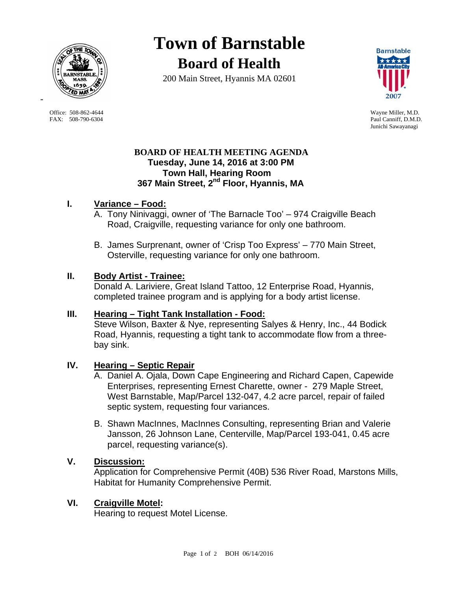

Office: 508-862-4644 Wayne Miller, M.D. FAX: 508-790-6304 Paul Canniff, D.M.D.

-

**Town of Barnstable Board of Health**

200 Main Street, Hyannis MA 02601



Junichi Sawayanagi

### **BOARD OF HEALTH MEETING AGENDA Tuesday, June 14, 2016 at 3:00 PM Town Hall, Hearing Room 367 Main Street, 2nd Floor, Hyannis, MA**

## **I. Variance – Food:**

- A. Tony Ninivaggi, owner of 'The Barnacle Too' 974 Craigville Beach Road, Craigville, requesting variance for only one bathroom.
- B. James Surprenant, owner of 'Crisp Too Express' 770 Main Street, Osterville, requesting variance for only one bathroom.

### **II. Body Artist - Trainee:**

Donald A. Lariviere, Great Island Tattoo, 12 Enterprise Road, Hyannis, completed trainee program and is applying for a body artist license.

### **III. Hearing – Tight Tank Installation - Food:**

 Steve Wilson, Baxter & Nye, representing Salyes & Henry, Inc., 44 Bodick Road, Hyannis, requesting a tight tank to accommodate flow from a threebay sink.

# **IV. Hearing – Septic Repair**

- A. Daniel A. Ojala, Down Cape Engineering and Richard Capen, Capewide Enterprises, representing Ernest Charette, owner - 279 Maple Street, West Barnstable, Map/Parcel 132-047, 4.2 acre parcel, repair of failed septic system, requesting four variances.
- B. Shawn MacInnes, MacInnes Consulting, representing Brian and Valerie Jansson, 26 Johnson Lane, Centerville, Map/Parcel 193-041, 0.45 acre parcel, requesting variance(s).

## **V. Discussion:**

Application for Comprehensive Permit (40B) 536 River Road, Marstons Mills, Habitat for Humanity Comprehensive Permit.

### **VI. Craigville Motel:**

Hearing to request Motel License.